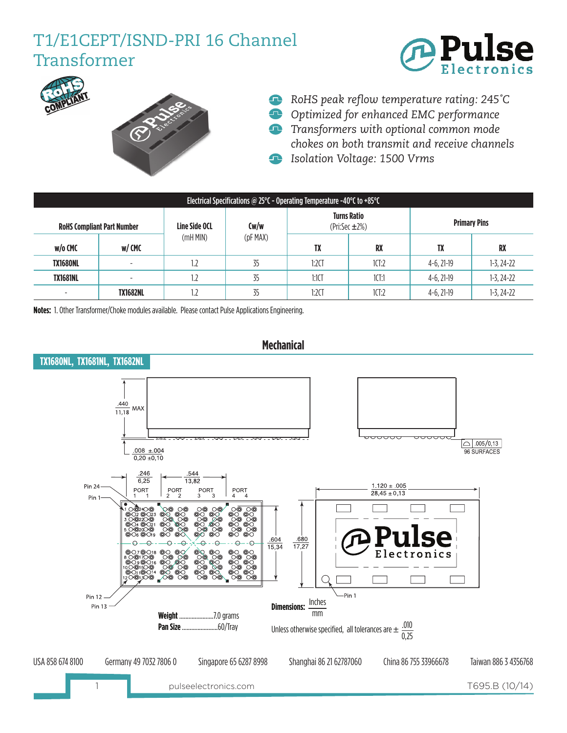## T1/E1CEPT/ISND-PRI 16 Channel Transformer







- *RoHS peak reflow temperature rating: 245�C*
- *Optimized for enhanced EMC performance*
- *Transformers with optional common mode chokes on both transmit and receive channels Isolation Voltage: 1500 Vrms*
- Electrical Specifications @ 25°C Operating Temperature -40°C to +85°C **RoHS Compliant Part Number Line Side OCL** (mH MIN) **Cw/w** (pF MAX) **Turns Ratio**  (Pri:Sec ±2%) **w/o CMC w/ CMC TX RX TX RX TX1680NL** - 1.2 35 1:2CT 1CT:2 4-6, 21-19 1-3, 24-22 **TX1681NL | - | 1.2 | 35 | 1.1CT | 1CT:1 | 4-6, 21-19 | 1-3, 24-22** - **TX1682NL |** 1.2 | 35 | 1:2CT | 1CT:2 | 4-6, 21-19 | 1-3, 24-22 **Primary Pins**

**Notes:** 1. Other Transformer/Choke modules available. Please contact Pulse Applications Engineering.



**Mechanical**